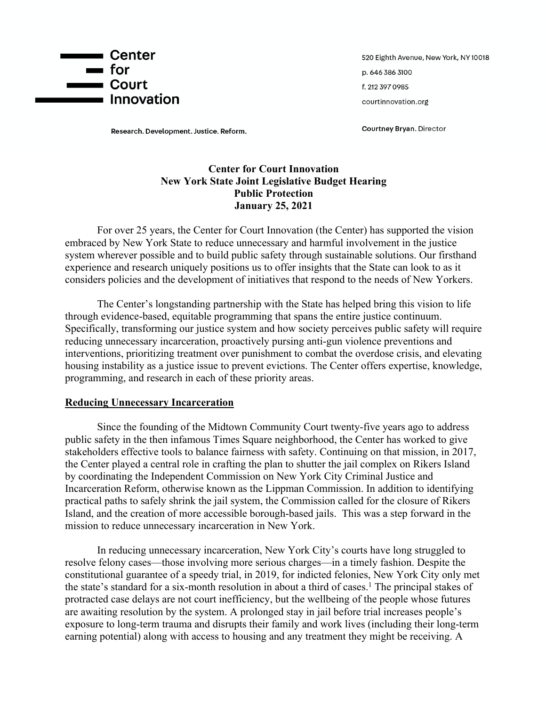

Research. Development. Justice. Reform.

520 Eighth Avenue, New York, NY 10018 p. 646 386 3100 f. 212 397 0985 courtinnovation.org

**Courtney Bryan. Director** 

### **Center for Court Innovation New York State Joint Legislative Budget Hearing Public Protection January 25, 2021**

For over 25 years, the Center for Court Innovation (the Center) has supported the vision embraced by New York State to reduce unnecessary and harmful involvement in the justice system wherever possible and to build public safety through sustainable solutions. Our firsthand experience and research uniquely positions us to offer insights that the State can look to as it considers policies and the development of initiatives that respond to the needs of New Yorkers.

The Center's longstanding partnership with the State has helped bring this vision to life through evidence-based, equitable programming that spans the entire justice continuum. Specifically, transforming our justice system and how society perceives public safety will require reducing unnecessary incarceration, proactively pursing anti-gun violence preventions and interventions, prioritizing treatment over punishment to combat the overdose crisis, and elevating housing instability as a justice issue to prevent evictions. The Center offers expertise, knowledge, programming, and research in each of these priority areas.

#### **Reducing Unnecessary Incarceration**

Since the founding of the Midtown Community Court twenty-five years ago to address public safety in the then infamous Times Square neighborhood, the Center has worked to give stakeholders effective tools to balance fairness with safety. Continuing on that mission, in 2017, the Center played a central role in crafting the plan to shutter the jail complex on Rikers Island by coordinating the Independent Commission on New York City Criminal Justice and Incarceration Reform, otherwise known as the Lippman Commission. In addition to identifying practical paths to safely shrink the jail system, the Commission called for the closure of Rikers Island, and the creation of more accessible borough-based jails. This was a step forward in the mission to reduce unnecessary incarceration in New York.

In reducing unnecessary incarceration, New York City's courts have long struggled to resolve felony cases—those involving more serious charges—in a timely fashion. Despite the constitutional guarantee of a speedy trial, in 2019, for indicted felonies, New York City only met the state's standard for a six-month resolution in about a third of cases.<sup>1</sup> The principal stakes of protracted case delays are not court inefficiency, but the wellbeing of the people whose futures are awaiting resolution by the system. A prolonged stay in jail before trial increases people's exposure to long-term trauma and disrupts their family and work lives (including their long-term earning potential) along with access to housing and any treatment they might be receiving. A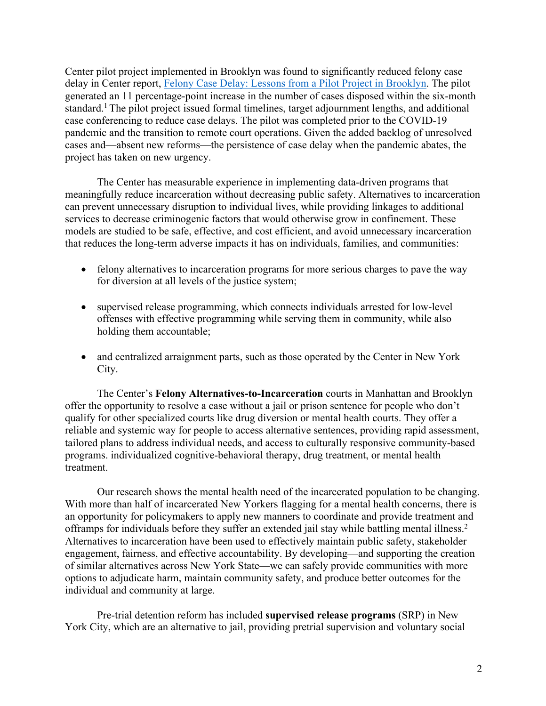Center pilot project implemented in Brooklyn was found to significantly reduced felony case delay in Center report, Felony Case Delay: Lessons from a Pilot Project in Brooklyn. The pilot generated an 11 percentage-point increase in the number of cases disposed within the six-month standard.<sup>1</sup> The pilot project issued formal timelines, target adjournment lengths, and additional case conferencing to reduce case delays. The pilot was completed prior to the COVID-19 pandemic and the transition to remote court operations. Given the added backlog of unresolved cases and—absent new reforms—the persistence of case delay when the pandemic abates, the project has taken on new urgency.

The Center has measurable experience in implementing data-driven programs that meaningfully reduce incarceration without decreasing public safety. Alternatives to incarceration can prevent unnecessary disruption to individual lives, while providing linkages to additional services to decrease criminogenic factors that would otherwise grow in confinement. These models are studied to be safe, effective, and cost efficient, and avoid unnecessary incarceration that reduces the long-term adverse impacts it has on individuals, families, and communities:

- felony alternatives to incarceration programs for more serious charges to pave the way for diversion at all levels of the justice system;
- supervised release programming, which connects individuals arrested for low-level offenses with effective programming while serving them in community, while also holding them accountable;
- and centralized arraignment parts, such as those operated by the Center in New York City.

The Center's **Felony Alternatives-to-Incarceration** courts in Manhattan and Brooklyn offer the opportunity to resolve a case without a jail or prison sentence for people who don't qualify for other specialized courts like drug diversion or mental health courts. They offer a reliable and systemic way for people to access alternative sentences, providing rapid assessment, tailored plans to address individual needs, and access to culturally responsive community-based programs. individualized cognitive-behavioral therapy, drug treatment, or mental health treatment.

Our research shows the mental health need of the incarcerated population to be changing. With more than half of incarcerated New Yorkers flagging for a mental health concerns, there is an opportunity for policymakers to apply new manners to coordinate and provide treatment and offramps for individuals before they suffer an extended jail stay while battling mental illness.2 Alternatives to incarceration have been used to effectively maintain public safety, stakeholder engagement, fairness, and effective accountability. By developing—and supporting the creation of similar alternatives across New York State—we can safely provide communities with more options to adjudicate harm, maintain community safety, and produce better outcomes for the individual and community at large.

Pre-trial detention reform has included **supervised release programs** (SRP) in New York City, which are an alternative to jail, providing pretrial supervision and voluntary social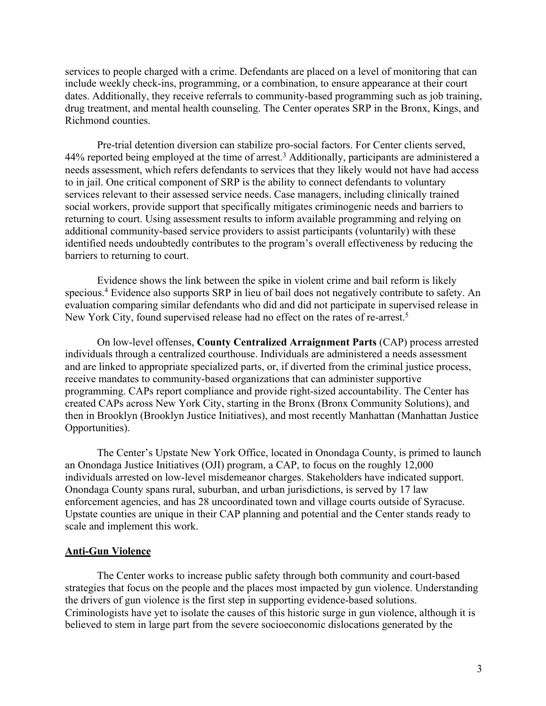services to people charged with a crime. Defendants are placed on a level of monitoring that can include weekly check-ins, programming, or a combination, to ensure appearance at their court dates. Additionally, they receive referrals to community-based programming such as job training, drug treatment, and mental health counseling. The Center operates SRP in the Bronx, Kings, and Richmond counties.

Pre-trial detention diversion can stabilize pro-social factors. For Center clients served, 44% reported being employed at the time of arrest.<sup>3</sup> Additionally, participants are administered a needs assessment, which refers defendants to services that they likely would not have had access to in jail. One critical component of SRP is the ability to connect defendants to voluntary services relevant to their assessed service needs. Case managers, including clinically trained social workers, provide support that specifically mitigates criminogenic needs and barriers to returning to court. Using assessment results to inform available programming and relying on additional community-based service providers to assist participants (voluntarily) with these identified needs undoubtedly contributes to the program's overall effectiveness by reducing the barriers to returning to court.

Evidence shows the link between the spike in violent crime and bail reform is likely specious.4 Evidence also supports SRP in lieu of bail does not negatively contribute to safety. An evaluation comparing similar defendants who did and did not participate in supervised release in New York City, found supervised release had no effect on the rates of re-arrest.<sup>5</sup>

On low-level offenses, **County Centralized Arraignment Parts** (CAP) process arrested individuals through a centralized courthouse. Individuals are administered a needs assessment and are linked to appropriate specialized parts, or, if diverted from the criminal justice process, receive mandates to community-based organizations that can administer supportive programming. CAPs report compliance and provide right-sized accountability. The Center has created CAPs across New York City, starting in the Bronx (Bronx Community Solutions), and then in Brooklyn (Brooklyn Justice Initiatives), and most recently Manhattan (Manhattan Justice Opportunities).

The Center's Upstate New York Office, located in Onondaga County, is primed to launch an Onondaga Justice Initiatives (OJI) program, a CAP, to focus on the roughly 12,000 individuals arrested on low-level misdemeanor charges. Stakeholders have indicated support. Onondaga County spans rural, suburban, and urban jurisdictions, is served by 17 law enforcement agencies, and has 28 uncoordinated town and village courts outside of Syracuse. Upstate counties are unique in their CAP planning and potential and the Center stands ready to scale and implement this work.

#### **Anti-Gun Violence**

The Center works to increase public safety through both community and court-based strategies that focus on the people and the places most impacted by gun violence. Understanding the drivers of gun violence is the first step in supporting evidence-based solutions. Criminologists have yet to isolate the causes of this historic surge in gun violence, although it is believed to stem in large part from the severe socioeconomic dislocations generated by the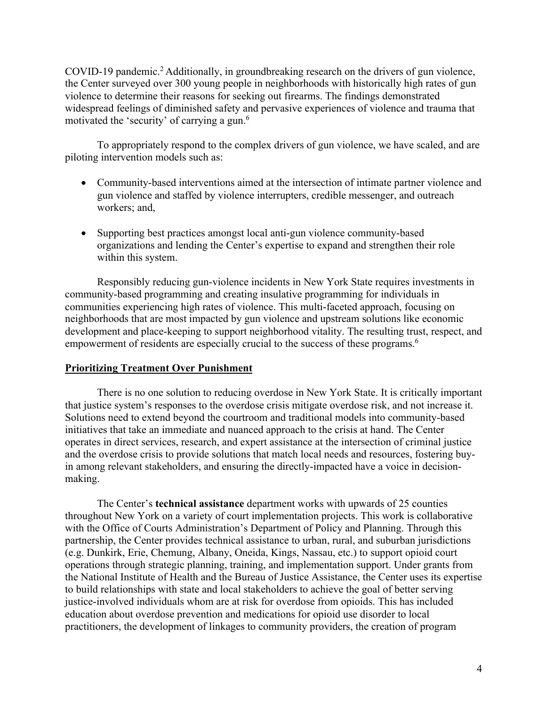COVID-19 pandemic.<sup>2</sup> Additionally, in groundbreaking research on the drivers of gun violence, the Center surveyed over 300 young people in neighborhoods with historically high rates of gun violence to determine their reasons for seeking out firearms. The findings demonstrated widespread feelings of diminished safety and pervasive experiences of violence and trauma that motivated the 'security' of carrying a gun.<sup>6</sup>

To appropriately respond to the complex drivers of gun violence, we have scaled, and are piloting intervention models such as:

- Community-based interventions aimed at the intersection of intimate partner violence and gun violence and staffed by violence interrupters, credible messenger, and outreach workers; and,
- Supporting best practices amongst local anti-gun violence community-based organizations and lending the Center's expertise to expand and strengthen their role within this system.

Responsibly reducing gun-violence incidents in New York State requires investments in community-based programming and creating insulative programming for individuals in communities experiencing high rates of violence. This multi-faceted approach, focusing on neighborhoods that are most impacted by gun violence and upstream solutions like economic development and place-keeping to support neighborhood vitality. The resulting trust, respect, and empowerment of residents are especially crucial to the success of these programs.<sup>6</sup>

#### **Prioritizing Treatment Over Punishment**

There is no one solution to reducing overdose in New York State. It is critically important that justice system's responses to the overdose crisis mitigate overdose risk, and not increase it. Solutions need to extend beyond the courtroom and traditional models into community-based initiatives that take an immediate and nuanced approach to the crisis at hand. The Center operates in direct services, research, and expert assistance at the intersection of criminal justice and the overdose crisis to provide solutions that match local needs and resources, fostering buyin among relevant stakeholders, and ensuring the directly-impacted have a voice in decisionmaking.

The Center's **technical assistance** department works with upwards of 25 counties throughout New York on a variety of court implementation projects. This work is collaborative with the Office of Courts Administration's Department of Policy and Planning. Through this partnership, the Center provides technical assistance to urban, rural, and suburban jurisdictions (e.g. Dunkirk, Erie, Chemung, Albany, Oneida, Kings, Nassau, etc.) to support opioid court operations through strategic planning, training, and implementation support. Under grants from the National Institute of Health and the Bureau of Justice Assistance, the Center uses its expertise to build relationships with state and local stakeholders to achieve the goal of better serving justice-involved individuals whom are at risk for overdose from opioids. This has included education about overdose prevention and medications for opioid use disorder to local practitioners, the development of linkages to community providers, the creation of program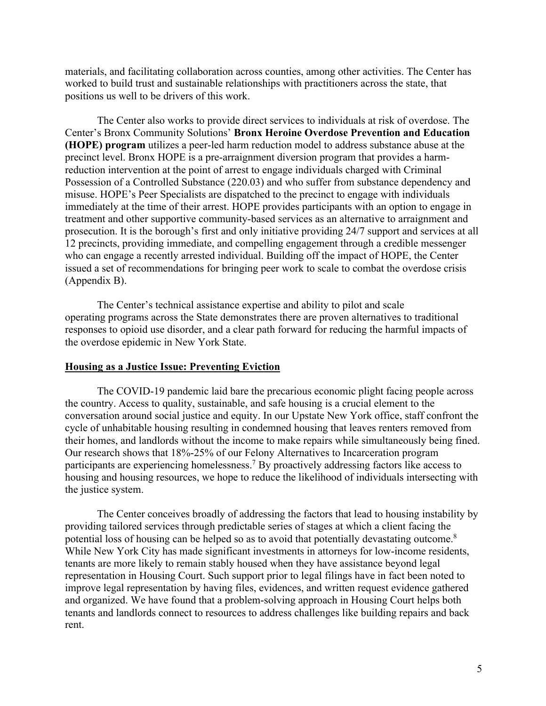materials, and facilitating collaboration across counties, among other activities. The Center has worked to build trust and sustainable relationships with practitioners across the state, that positions us well to be drivers of this work.

The Center also works to provide direct services to individuals at risk of overdose. The Center's Bronx Community Solutions' **Bronx Heroine Overdose Prevention and Education (HOPE) program** utilizes a peer-led harm reduction model to address substance abuse at the precinct level. Bronx HOPE is a pre-arraignment diversion program that provides a harmreduction intervention at the point of arrest to engage individuals charged with Criminal Possession of a Controlled Substance (220.03) and who suffer from substance dependency and misuse. HOPE's Peer Specialists are dispatched to the precinct to engage with individuals immediately at the time of their arrest. HOPE provides participants with an option to engage in treatment and other supportive community-based services as an alternative to arraignment and prosecution. It is the borough's first and only initiative providing 24/7 support and services at all 12 precincts, providing immediate, and compelling engagement through a credible messenger who can engage a recently arrested individual. Building off the impact of HOPE, the Center issued a set of recommendations for bringing peer work to scale to combat the overdose crisis (Appendix B).

The Center's technical assistance expertise and ability to pilot and scale operating programs across the State demonstrates there are proven alternatives to traditional responses to opioid use disorder, and a clear path forward for reducing the harmful impacts of the overdose epidemic in New York State.

#### **Housing as a Justice Issue: Preventing Eviction**

The COVID-19 pandemic laid bare the precarious economic plight facing people across the country. Access to quality, sustainable, and safe housing is a crucial element to the conversation around social justice and equity. In our Upstate New York office, staff confront the cycle of unhabitable housing resulting in condemned housing that leaves renters removed from their homes, and landlords without the income to make repairs while simultaneously being fined. Our research shows that 18%-25% of our Felony Alternatives to Incarceration program participants are experiencing homelessness.7 By proactively addressing factors like access to housing and housing resources, we hope to reduce the likelihood of individuals intersecting with the justice system.

The Center conceives broadly of addressing the factors that lead to housing instability by providing tailored services through predictable series of stages at which a client facing the potential loss of housing can be helped so as to avoid that potentially devastating outcome.8 While New York City has made significant investments in attorneys for low-income residents, tenants are more likely to remain stably housed when they have assistance beyond legal representation in Housing Court. Such support prior to legal filings have in fact been noted to improve legal representation by having files, evidences, and written request evidence gathered and organized. We have found that a problem-solving approach in Housing Court helps both tenants and landlords connect to resources to address challenges like building repairs and back rent.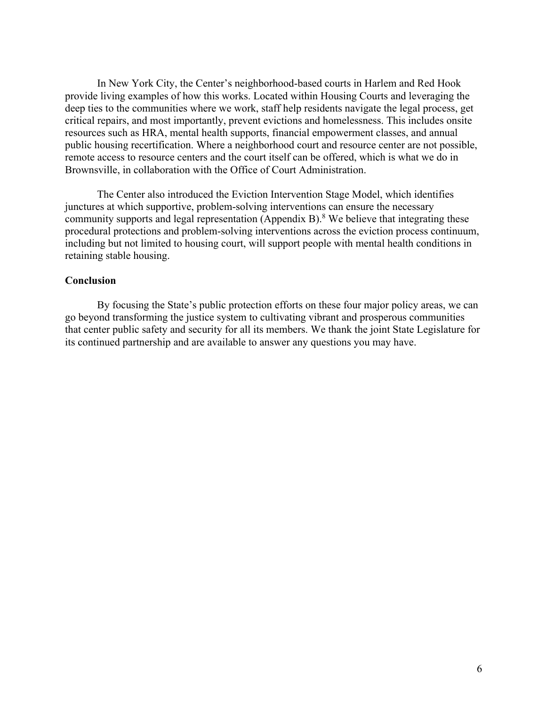In New York City, the Center's neighborhood-based courts in Harlem and Red Hook provide living examples of how this works. Located within Housing Courts and leveraging the deep ties to the communities where we work, staff help residents navigate the legal process, get critical repairs, and most importantly, prevent evictions and homelessness. This includes onsite resources such as HRA, mental health supports, financial empowerment classes, and annual public housing recertification. Where a neighborhood court and resource center are not possible, remote access to resource centers and the court itself can be offered, which is what we do in Brownsville, in collaboration with the Office of Court Administration.

The Center also introduced the Eviction Intervention Stage Model, which identifies junctures at which supportive, problem-solving interventions can ensure the necessary community supports and legal representation (Appendix B).<sup>8</sup> We believe that integrating these procedural protections and problem-solving interventions across the eviction process continuum, including but not limited to housing court, will support people with mental health conditions in retaining stable housing.

#### **Conclusion**

By focusing the State's public protection efforts on these four major policy areas, we can go beyond transforming the justice system to cultivating vibrant and prosperous communities that center public safety and security for all its members. We thank the joint State Legislature for its continued partnership and are available to answer any questions you may have.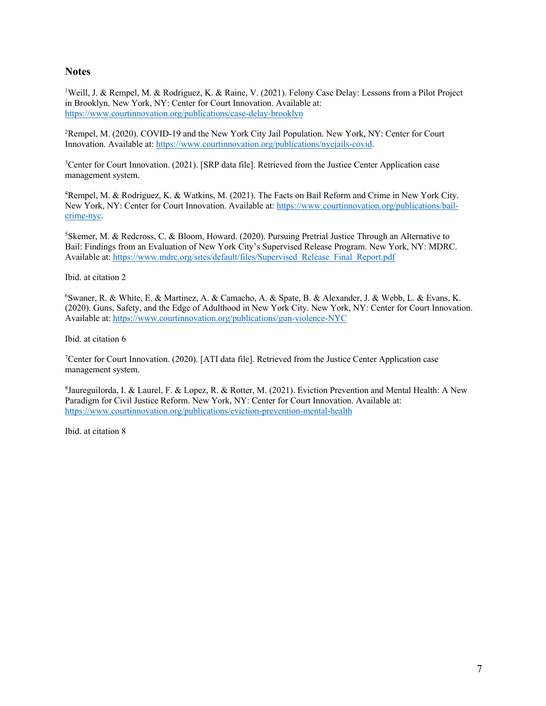#### **Notes**

<sup>1</sup>Weill, J. & Rempel, M. & Rodriguez, K. & Raine, V. (2021). Felony Case Delay: Lessons from a Pilot Project in Brooklyn. New York, NY: Center for Court Innovation. Available at: https://www.courtinnovation.org/publications/case-delay-brooklyn

2 Rempel, M. (2020). COVID-19 and the New York City Jail Population. New York, NY: Center for Court Innovation. Available at: https://www.courtinnovation.org/publications/nycjails-covid.

<sup>3</sup>Center for Court Innovation. (2021). [SRP data file]. Retrieved from the Justice Center Application case management system.

4 Rempel, M. & Rodriguez, K. & Watkins, M. (2021). The Facts on Bail Reform and Crime in New York City. New York, NY: Center for Court Innovation. Available at: https://www.courtinnovation.org/publications/bailcrime-nyc.

5 Skemer, M. & Redcross, C. & Bloom, Howard. (2020). Pursuing Pretrial Justice Through an Alternative to Bail: Findings from an Evaluation of New York City's Supervised Release Program. New York, NY: MDRC. Available at: https://www.mdrc.org/sites/default/files/Supervised\_Release\_Final\_Report.pdf

Ibid. at citation 2

6 Swaner, R. & White, E. & Martinez, A. & Camacho, A. & Spate, B. & Alexander, J. & Webb, L. & Evans, K. (2020). Guns, Safety, and the Edge of Adulthood in New York City. New York, NY: Center for Court Innovation. Available at: https://www.courtinnovation.org/publications/gun-violence-NYC

Ibid. at citation 6

<sup>7</sup>Center for Court Innovation. (2020). [ATI data file]. Retrieved from the Justice Center Application case management system.

8 Jaureguilorda, I. & Laurel, F. & Lopez, R. & Rotter, M. (2021). Eviction Prevention and Mental Health: A New Paradigm for Civil Justice Reform. New York, NY: Center for Court Innovation. Available at: https://www.courtinnovation.org/publications/eviction-prevention-mental-health

Ibid. at citation 8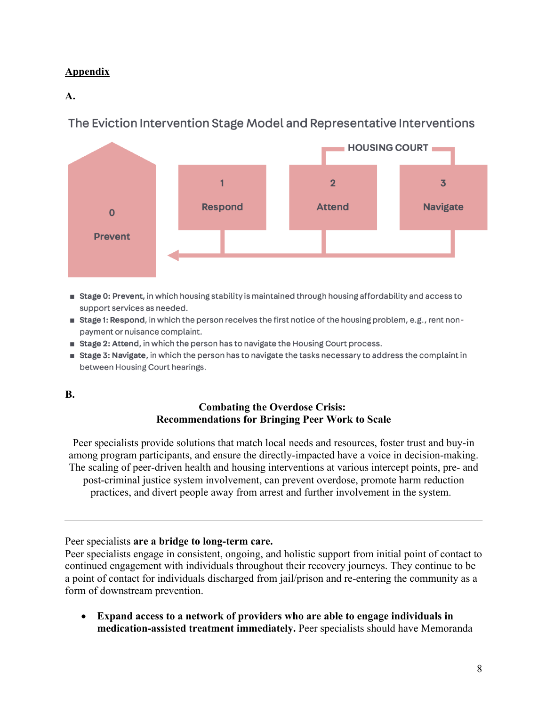## **Appendix**

### **A.**

# The Eviction Intervention Stage Model and Representative Interventions



- **Stage 0: Prevent, in which housing stability is maintained through housing affordability and access to 1** support services as needed.
- **stage 1: Respond, in which the person receives the first notice of the housing problem, e.g., rent non**payment or nuisance complaint.
- **Stage 2: Attend, in which the person has to navigate the Housing Court process.**
- **Stage 3: Navigate**, in which the person has to navigate the tasks necessary to address the complaint in between Housing Court hearings.

### **B.**

### **Combating the Overdose Crisis: Recommendations for Bringing Peer Work to Scale**

Peer specialists provide solutions that match local needs and resources, foster trust and buy-in among program participants, and ensure the directly-impacted have a voice in decision-making. The scaling of peer-driven health and housing interventions at various intercept points, pre- and post-criminal justice system involvement, can prevent overdose, promote harm reduction practices, and divert people away from arrest and further involvement in the system.

Peer specialists **are a bridge to long-term care.**

Peer specialists engage in consistent, ongoing, and holistic support from initial point of contact to continued engagement with individuals throughout their recovery journeys. They continue to be a point of contact for individuals discharged from jail/prison and re-entering the community as a form of downstream prevention.

• **Expand access to a network of providers who are able to engage individuals in medication-assisted treatment immediately.** Peer specialists should have Memoranda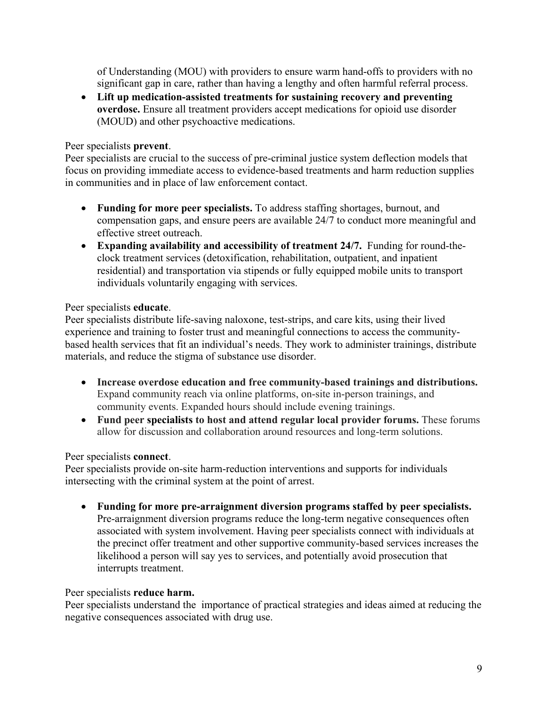of Understanding (MOU) with providers to ensure warm hand-offs to providers with no significant gap in care, rather than having a lengthy and often harmful referral process.

• **Lift up medication-assisted treatments for sustaining recovery and preventing overdose.** Ensure all treatment providers accept medications for opioid use disorder (MOUD) and other psychoactive medications.

### Peer specialists **prevent**.

Peer specialists are crucial to the success of pre-criminal justice system deflection models that focus on providing immediate access to evidence-based treatments and harm reduction supplies in communities and in place of law enforcement contact.

- **Funding for more peer specialists.** To address staffing shortages, burnout, and compensation gaps, and ensure peers are available 24/7 to conduct more meaningful and effective street outreach.
- **Expanding availability and accessibility of treatment 24/7.** Funding for round-theclock treatment services (detoxification, rehabilitation, outpatient, and inpatient residential) and transportation via stipends or fully equipped mobile units to transport individuals voluntarily engaging with services.

### Peer specialists **educate**.

Peer specialists distribute life-saving naloxone, test-strips, and care kits, using their lived experience and training to foster trust and meaningful connections to access the communitybased health services that fit an individual's needs. They work to administer trainings, distribute materials, and reduce the stigma of substance use disorder.

- **Increase overdose education and free community-based trainings and distributions.**  Expand community reach via online platforms, on-site in-person trainings, and community events. Expanded hours should include evening trainings.
- **Fund peer specialists to host and attend regular local provider forums.** These forums allow for discussion and collaboration around resources and long-term solutions.

### Peer specialists **connect**.

Peer specialists provide on-site harm-reduction interventions and supports for individuals intersecting with the criminal system at the point of arrest.

• **Funding for more pre-arraignment diversion programs staffed by peer specialists.**  Pre-arraignment diversion programs reduce the long-term negative consequences often associated with system involvement. Having peer specialists connect with individuals at the precinct offer treatment and other supportive community-based services increases the likelihood a person will say yes to services, and potentially avoid prosecution that interrupts treatment.

### Peer specialists **reduce harm.**

Peer specialists understand the importance of practical strategies and ideas aimed at reducing the negative consequences associated with drug use.